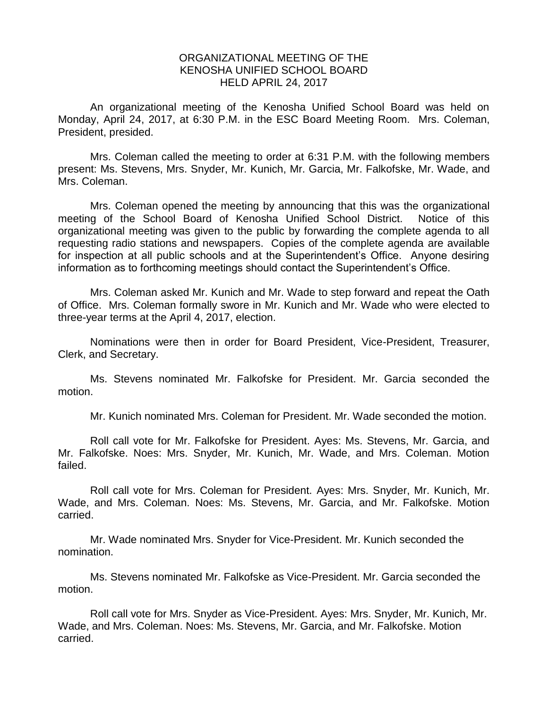## ORGANIZATIONAL MEETING OF THE KENOSHA UNIFIED SCHOOL BOARD HELD APRIL 24, 2017

An organizational meeting of the Kenosha Unified School Board was held on Monday, April 24, 2017, at 6:30 P.M. in the ESC Board Meeting Room. Mrs. Coleman, President, presided.

Mrs. Coleman called the meeting to order at 6:31 P.M. with the following members present: Ms. Stevens, Mrs. Snyder, Mr. Kunich, Mr. Garcia, Mr. Falkofske, Mr. Wade, and Mrs. Coleman.

Mrs. Coleman opened the meeting by announcing that this was the organizational meeting of the School Board of Kenosha Unified School District. Notice of this organizational meeting was given to the public by forwarding the complete agenda to all requesting radio stations and newspapers. Copies of the complete agenda are available for inspection at all public schools and at the Superintendent's Office. Anyone desiring information as to forthcoming meetings should contact the Superintendent's Office.

Mrs. Coleman asked Mr. Kunich and Mr. Wade to step forward and repeat the Oath of Office. Mrs. Coleman formally swore in Mr. Kunich and Mr. Wade who were elected to three-year terms at the April 4, 2017, election.

Nominations were then in order for Board President, Vice-President, Treasurer, Clerk, and Secretary.

Ms. Stevens nominated Mr. Falkofske for President. Mr. Garcia seconded the motion.

Mr. Kunich nominated Mrs. Coleman for President. Mr. Wade seconded the motion.

Roll call vote for Mr. Falkofske for President. Ayes: Ms. Stevens, Mr. Garcia, and Mr. Falkofske. Noes: Mrs. Snyder, Mr. Kunich, Mr. Wade, and Mrs. Coleman. Motion failed.

Roll call vote for Mrs. Coleman for President. Ayes: Mrs. Snyder, Mr. Kunich, Mr. Wade, and Mrs. Coleman. Noes: Ms. Stevens, Mr. Garcia, and Mr. Falkofske. Motion carried.

Mr. Wade nominated Mrs. Snyder for Vice-President. Mr. Kunich seconded the nomination.

Ms. Stevens nominated Mr. Falkofske as Vice-President. Mr. Garcia seconded the motion.

Roll call vote for Mrs. Snyder as Vice-President. Ayes: Mrs. Snyder, Mr. Kunich, Mr. Wade, and Mrs. Coleman. Noes: Ms. Stevens, Mr. Garcia, and Mr. Falkofske. Motion carried.